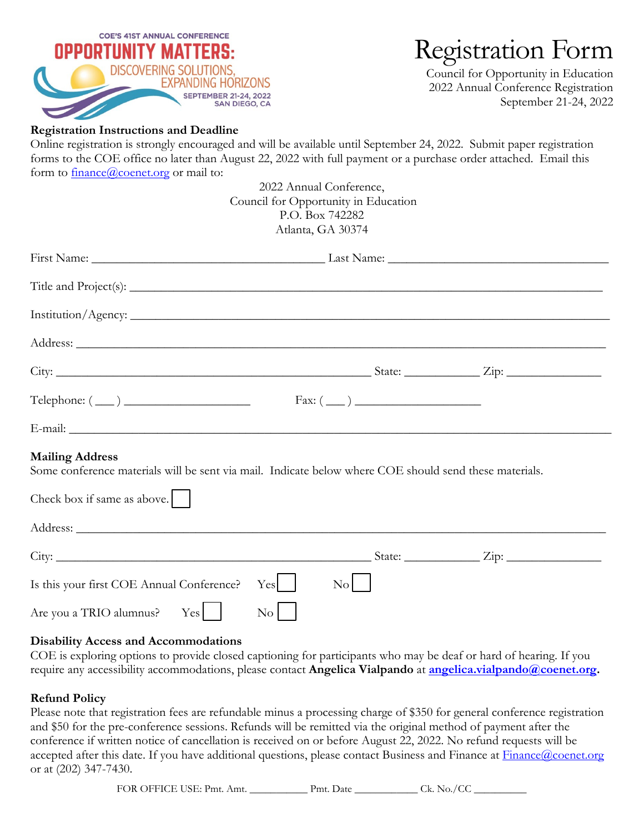

# Registration Form

Council for Opportunity in Education 2022 Annual Conference Registration September 21-24, 2022

## **Registration Instructions and Deadline**

Online registration is strongly encouraged and will be available until September 24, 2022. Submit paper registration forms to the COE office no later than August 22, 2022 with full payment or a purchase order attached. Email this form to **[finance@coenet.org](mailto:finance@coenet.org)** or mail to:

| 2022 Annual Conference,                                                                                                          |
|----------------------------------------------------------------------------------------------------------------------------------|
| Council for Opportunity in Education                                                                                             |
| P.O. Box 742282                                                                                                                  |
| Atlanta, GA 30374                                                                                                                |
|                                                                                                                                  |
|                                                                                                                                  |
|                                                                                                                                  |
|                                                                                                                                  |
| City: $\frac{1}{\sqrt{2}}$ State: $\frac{1}{\sqrt{2}}$ State: $\frac{1}{\sqrt{2}}$ Zip: $\frac{1}{\sqrt{2}}$                     |
| Telephone: $(\_\_)$ Fax: $(\_\_)$                                                                                                |
|                                                                                                                                  |
| <b>Mailing Address</b><br>Some conference materials will be sent via mail. Indicate below where COE should send these materials. |
| Check box if same as above. $\vert \ \ \vert$                                                                                    |
|                                                                                                                                  |
| City: $\frac{1}{\sqrt{2}}$ State: $\frac{1}{\sqrt{2}}$ State: $\frac{1}{\sqrt{2}}$ Zip:                                          |
| $\vert N_{0} \vert$  <br>Yes  <br>Is this your first COE Annual Conference?                                                      |
| Are you a TRIO alumnus? Yes<br>$\rm{No}$                                                                                         |

#### **Disability Access and Accommodations**

COE is exploring options to provide closed captioning for participants who may be deaf or hard of hearing. If you require any accessibility accommodations, please contact **Angelica Vialpando** at **[angelica.vialpando@coenet.org.](mailto:angelica.vialpando@coenet.org)**

#### **Refund Policy**

Please note that registration fees are refundable minus a processing charge of \$350 for general conference registration and \$50 for the pre-conference sessions. Refunds will be remitted via the original method of payment after the conference if written notice of cancellation is received on or before August 22, 2022. No refund requests will be accepted after this date. If you have additional questions, please contact Business and Finance at [Finance@coenet.org](mailto:Finance@coenet.org) or at (202) 347-7430.

FOR OFFICE USE: Pmt. Amt. \_\_\_\_\_\_\_\_\_\_\_\_\_\_\_ Pmt. Date \_\_\_\_\_\_\_\_\_\_\_\_\_\_\_ Ck. No./CC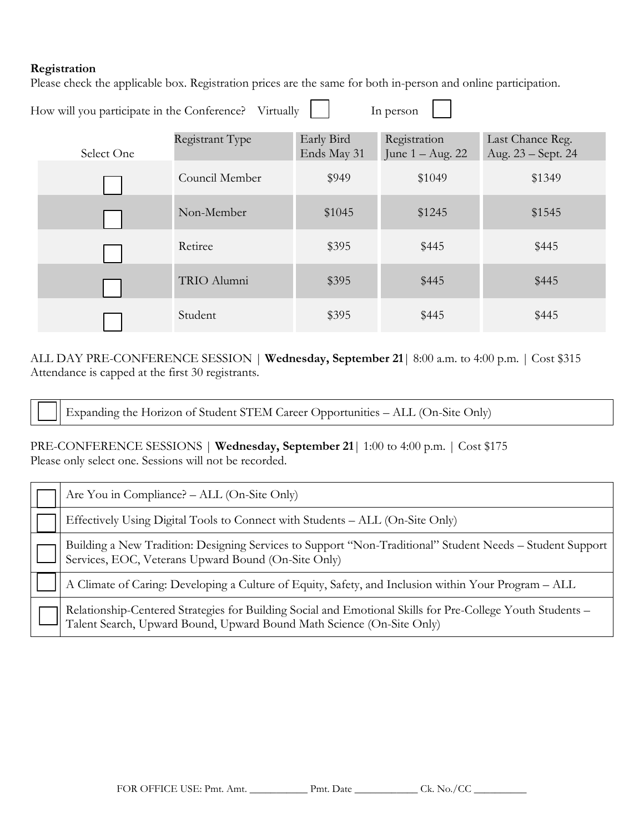### **Registration**

Please check the applicable box. Registration prices are the same for both in-person and online participation.

| How will you participate in the Conference?<br>Virtually<br>In person |            |                 |                           |                                    |                                        |  |
|-----------------------------------------------------------------------|------------|-----------------|---------------------------|------------------------------------|----------------------------------------|--|
|                                                                       | Select One | Registrant Type | Early Bird<br>Ends May 31 | Registration<br>June $1 - Aug. 22$ | Last Chance Reg.<br>Aug. 23 – Sept. 24 |  |
|                                                                       |            | Council Member  | \$949                     | \$1049                             | \$1349                                 |  |
|                                                                       |            | Non-Member      | \$1045                    | \$1245                             | \$1545                                 |  |
|                                                                       |            | Retiree         | \$395                     | \$445                              | \$445                                  |  |
|                                                                       |            | TRIO Alumni     | \$395                     | \$445                              | \$445                                  |  |
|                                                                       |            | Student         | \$395                     | \$445                              | \$445                                  |  |

ALL DAY PRE-CONFERENCE SESSION | **Wednesday, September 21**| 8:00 a.m. to 4:00 p.m. | Cost \$315 Attendance is capped at the first 30 registrants.

Expanding the Horizon of Student STEM Career Opportunities – ALL (On-Site Only)

PRE-CONFERENCE SESSIONS | Wednesday, September 21 | 1:00 to 4:00 p.m. | Cost \$175 Please only select one. Sessions will not be recorded.

| Are You in Compliance? - ALL (On-Site Only)                                                                                                                                         |
|-------------------------------------------------------------------------------------------------------------------------------------------------------------------------------------|
| Effectively Using Digital Tools to Connect with Students – ALL (On-Site Only)                                                                                                       |
| Building a New Tradition: Designing Services to Support "Non-Traditional" Student Needs - Student Support Services, EOC, Veterans Upward Bound (On-Site Only)                       |
| A Climate of Caring: Developing a Culture of Equity, Safety, and Inclusion within Your Program - ALL                                                                                |
| Relationship-Centered Strategies for Building Social and Emotional Skills for Pre-College Youth Students -<br>Talent Search, Upward Bound, Upward Bound Math Science (On-Site Only) |